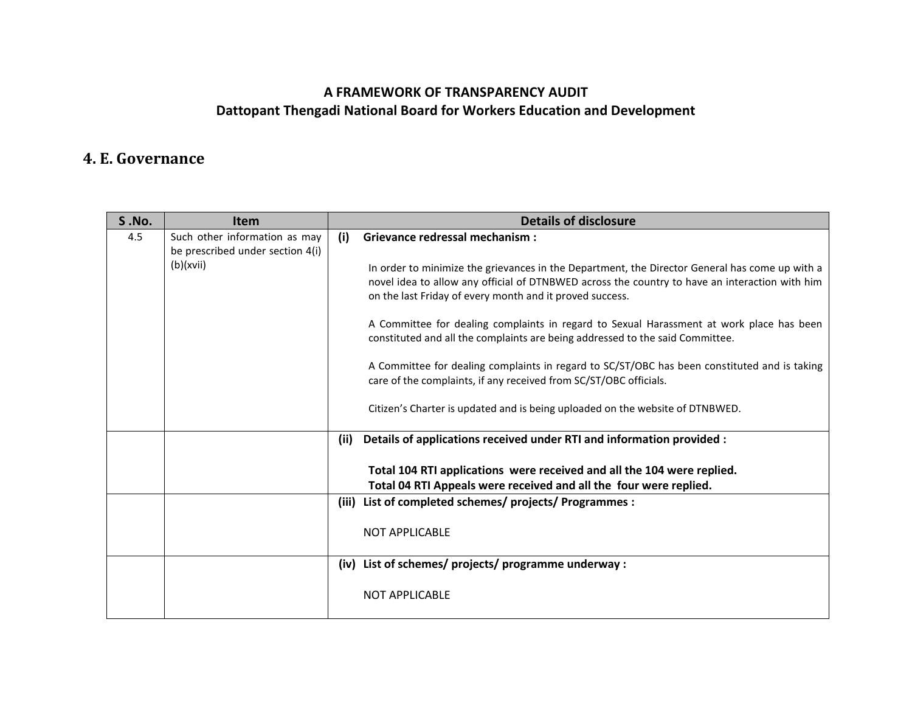## **A FRAMEWORK OF TRANSPARENCY AUDIT Dattopant Thengadi National Board for Workers Education and Development**

## **4. E. Governance**

| <b>S.No.</b> | <b>Item</b>                                                                    |      | <b>Details of disclosure</b>                                                                                                                                                                                                                                 |
|--------------|--------------------------------------------------------------------------------|------|--------------------------------------------------------------------------------------------------------------------------------------------------------------------------------------------------------------------------------------------------------------|
| 4.5          | Such other information as may<br>be prescribed under section 4(i)<br>(b)(xvii) | (i)  | <b>Grievance redressal mechanism:</b>                                                                                                                                                                                                                        |
|              |                                                                                |      | In order to minimize the grievances in the Department, the Director General has come up with a<br>novel idea to allow any official of DTNBWED across the country to have an interaction with him<br>on the last Friday of every month and it proved success. |
|              |                                                                                |      | A Committee for dealing complaints in regard to Sexual Harassment at work place has been<br>constituted and all the complaints are being addressed to the said Committee.                                                                                    |
|              |                                                                                |      | A Committee for dealing complaints in regard to SC/ST/OBC has been constituted and is taking<br>care of the complaints, if any received from SC/ST/OBC officials.                                                                                            |
|              |                                                                                |      | Citizen's Charter is updated and is being uploaded on the website of DTNBWED.                                                                                                                                                                                |
|              |                                                                                | (ii) | Details of applications received under RTI and information provided :                                                                                                                                                                                        |
|              |                                                                                |      | Total 104 RTI applications were received and all the 104 were replied.                                                                                                                                                                                       |
|              |                                                                                |      | Total 04 RTI Appeals were received and all the four were replied.                                                                                                                                                                                            |
|              |                                                                                |      | (iii) List of completed schemes/ projects/ Programmes :                                                                                                                                                                                                      |
|              |                                                                                |      | <b>NOT APPLICABLE</b>                                                                                                                                                                                                                                        |
|              |                                                                                |      | (iv) List of schemes/ projects/ programme underway :                                                                                                                                                                                                         |
|              |                                                                                |      | <b>NOT APPLICABLE</b>                                                                                                                                                                                                                                        |